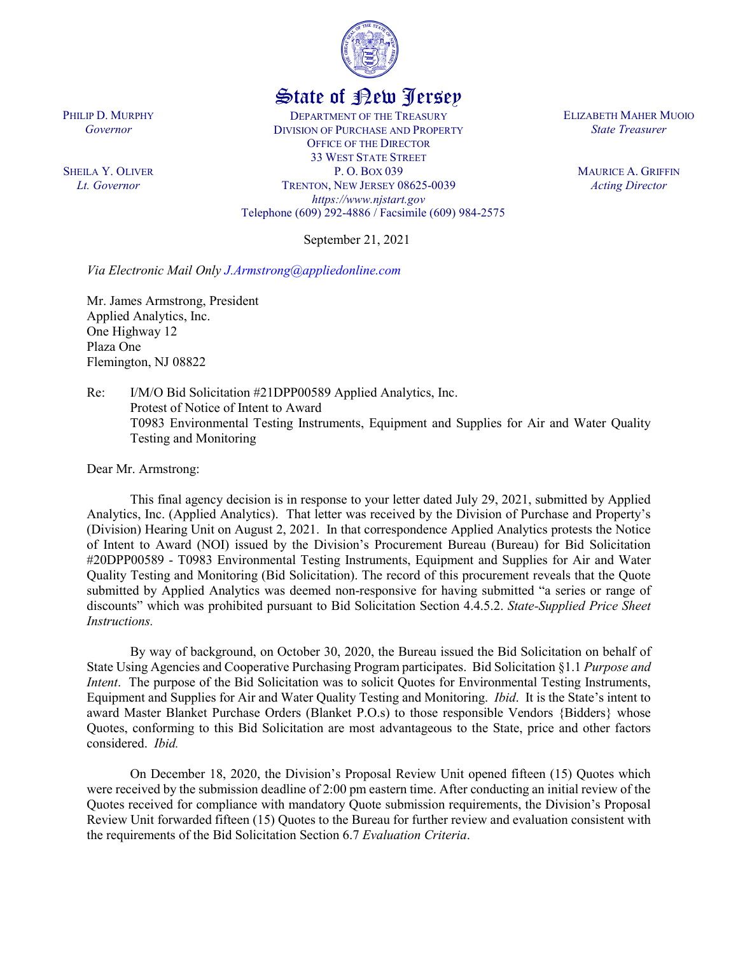

## State of New Jersey

DEPARTMENT OF THE TREASURY DIVISION OF PURCHASE AND PROPERTY OFFICE OF THE DIRECTOR 33 WEST STATE STREET P. O. BOX 039 TRENTON, NEW JERSEY 08625-0039 *https://www.njstart.gov* Telephone (609) 292-4886 / Facsimile (609) 984-2575

September 21, 2021

*Via Electronic Mail Only J.Armstrong@appliedonline.com*

Mr. James Armstrong, President Applied Analytics, Inc. One Highway 12 Plaza One Flemington, NJ 08822

Re: I/M/O Bid Solicitation #21DPP00589 Applied Analytics, Inc. Protest of Notice of Intent to Award T0983 Environmental Testing Instruments, Equipment and Supplies for Air and Water Quality Testing and Monitoring

Dear Mr. Armstrong:

This final agency decision is in response to your letter dated July 29, 2021, submitted by Applied Analytics, Inc. (Applied Analytics). That letter was received by the Division of Purchase and Property's (Division) Hearing Unit on August 2, 2021. In that correspondence Applied Analytics protests the Notice of Intent to Award (NOI) issued by the Division's Procurement Bureau (Bureau) for Bid Solicitation #20DPP00589 - T0983 Environmental Testing Instruments, Equipment and Supplies for Air and Water Quality Testing and Monitoring (Bid Solicitation). The record of this procurement reveals that the Quote submitted by Applied Analytics was deemed non-responsive for having submitted "a series or range of discounts" which was prohibited pursuant to Bid Solicitation Section 4.4.5.2. *State-Supplied Price Sheet Instructions.*

By way of background, on October 30, 2020, the Bureau issued the Bid Solicitation on behalf of State Using Agencies and Cooperative Purchasing Program participates. Bid Solicitation §1.1 *Purpose and Intent*. The purpose of the Bid Solicitation was to solicit Quotes for Environmental Testing Instruments, Equipment and Supplies for Air and Water Quality Testing and Monitoring. *Ibid*. It is the State's intent to award Master Blanket Purchase Orders (Blanket P.O.s) to those responsible Vendors {Bidders} whose Quotes, conforming to this Bid Solicitation are most advantageous to the State, price and other factors considered. *Ibid.* 

On December 18, 2020, the Division's Proposal Review Unit opened fifteen (15) Quotes which were received by the submission deadline of 2:00 pm eastern time. After conducting an initial review of the Quotes received for compliance with mandatory Quote submission requirements, the Division's Proposal Review Unit forwarded fifteen (15) Quotes to the Bureau for further review and evaluation consistent with the requirements of the Bid Solicitation Section 6.7 *Evaluation Criteria*.

PHILIP D. MURPHY *Governor*

SHEILA Y. OLIVER *Lt. Governor*

ELIZABETH MAHER MUOIO *State Treasurer*

> MAURICE A. GRIFFIN *Acting Director*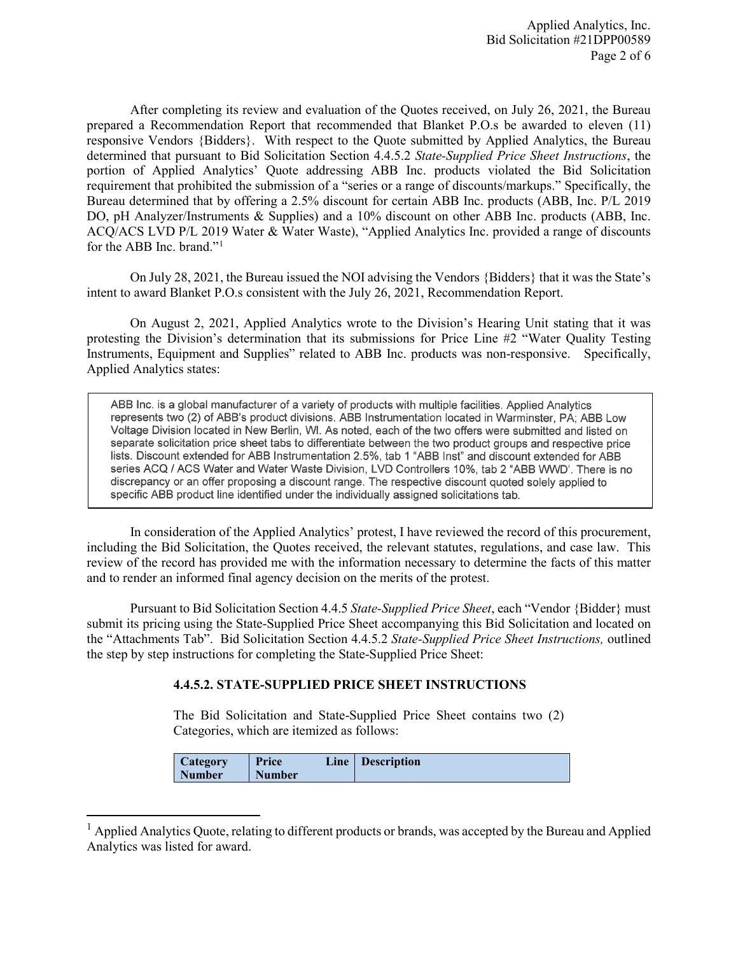After completing its review and evaluation of the Quotes received, on July 26, 2021, the Bureau prepared a Recommendation Report that recommended that Blanket P.O.s be awarded to eleven (11) responsive Vendors {Bidders}. With respect to the Quote submitted by Applied Analytics, the Bureau determined that pursuant to Bid Solicitation Section 4.4.5.2 *State-Supplied Price Sheet Instructions*, the portion of Applied Analytics' Quote addressing ABB Inc. products violated the Bid Solicitation requirement that prohibited the submission of a "series or a range of discounts/markups." Specifically, the Bureau determined that by offering a 2.5% discount for certain ABB Inc. products (ABB, Inc. P/L 2019 DO, pH Analyzer/Instruments & Supplies) and a 10% discount on other ABB Inc. products (ABB, Inc. ACQ/ACS LVD P/L 2019 Water & Water Waste), "Applied Analytics Inc. provided a range of discounts for the ABB Inc. brand."[1](#page-1-0)

On July 28, 2021, the Bureau issued the NOI advising the Vendors {Bidders} that it was the State's intent to award Blanket P.O.s consistent with the July 26, 2021, Recommendation Report.

On August 2, 2021, Applied Analytics wrote to the Division's Hearing Unit stating that it was protesting the Division's determination that its submissions for Price Line #2 "Water Quality Testing Instruments, Equipment and Supplies" related to ABB Inc. products was non-responsive. Specifically, Applied Analytics states:

ABB Inc. is a global manufacturer of a variety of products with multiple facilities. Applied Analytics represents two (2) of ABB's product divisions. ABB Instrumentation located in Warminster, PA; ABB Low Voltage Division located in New Berlin, WI. As noted, each of the two offers were submitted and listed on separate solicitation price sheet tabs to differentiate between the two product groups and respective price lists. Discount extended for ABB Instrumentation 2.5%, tab 1 "ABB Inst" and discount extended for ABB series ACQ / ACS Water and Water Waste Division, LVD Controllers 10%, tab 2 "ABB WWD'. There is no discrepancy or an offer proposing a discount range. The respective discount quoted solely applied to specific ABB product line identified under the individually assigned solicitations tab.

In consideration of the Applied Analytics' protest, I have reviewed the record of this procurement, including the Bid Solicitation, the Quotes received, the relevant statutes, regulations, and case law. This review of the record has provided me with the information necessary to determine the facts of this matter and to render an informed final agency decision on the merits of the protest.

Pursuant to Bid Solicitation Section 4.4.5 *State-Supplied Price Sheet*, each "Vendor {Bidder} must submit its pricing using the State-Supplied Price Sheet accompanying this Bid Solicitation and located on the "Attachments Tab". Bid Solicitation Section 4.4.5.2 *State-Supplied Price Sheet Instructions,* outlined the step by step instructions for completing the State-Supplied Price Sheet:

## **4.4.5.2. STATE-SUPPLIED PRICE SHEET INSTRUCTIONS**

The Bid Solicitation and State-Supplied Price Sheet contains two (2) Categories, which are itemized as follows:

| <b>Category</b> | Price         | <b>Line</b> | Description |
|-----------------|---------------|-------------|-------------|
| <b>Number</b>   | <b>Number</b> |             |             |

<span id="page-1-0"></span> $<sup>1</sup>$  Applied Analytics Quote, relating to different products or brands, was accepted by the Bureau and Applied</sup> Analytics was listed for award.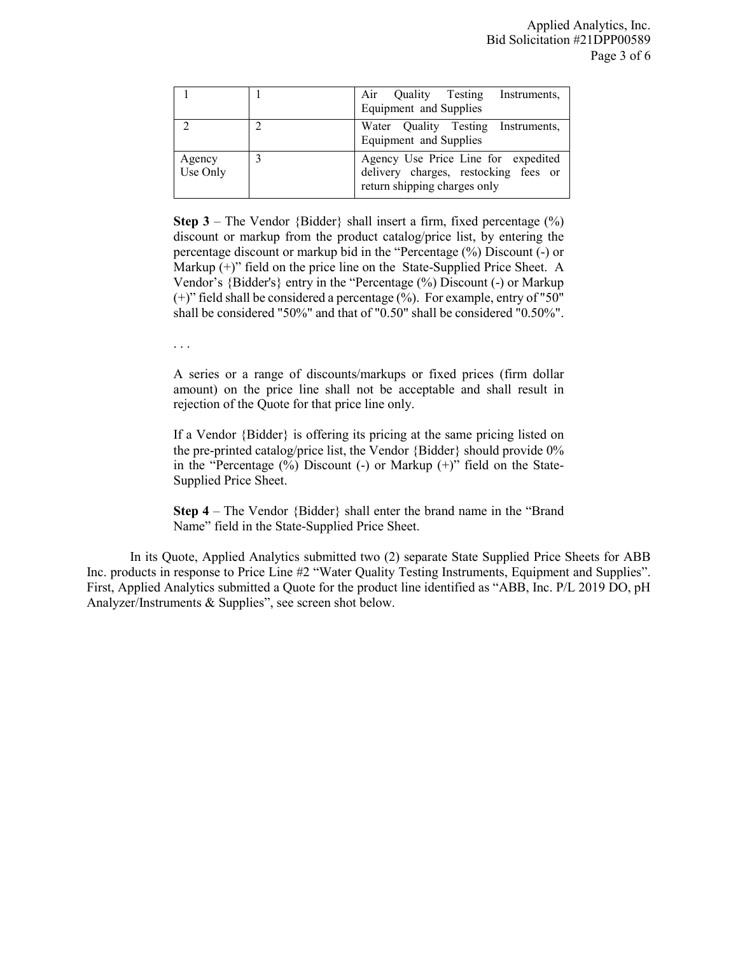|                    | Air Quality Testing Instruments,<br>Equipment and Supplies                                                  |  |
|--------------------|-------------------------------------------------------------------------------------------------------------|--|
|                    | Water Quality Testing Instruments,<br>Equipment and Supplies                                                |  |
| Agency<br>Use Only | Agency Use Price Line for expedited<br>delivery charges, restocking fees or<br>return shipping charges only |  |

**Step 3** – The Vendor  ${Bidder}$  shall insert a firm, fixed percentage  $(\%)$ discount or markup from the product catalog/price list, by entering the percentage discount or markup bid in the "Percentage (%) Discount (-) or Markup  $(+)$ " field on the price line on the State-Supplied Price Sheet. A Vendor's {Bidder's} entry in the "Percentage (%) Discount (-) or Markup (+)" field shall be considered a percentage (%). For example, entry of "50" shall be considered "50%" and that of "0.50" shall be considered "0.50%".

. . .

A series or a range of discounts/markups or fixed prices (firm dollar amount) on the price line shall not be acceptable and shall result in rejection of the Quote for that price line only.

If a Vendor {Bidder} is offering its pricing at the same pricing listed on the pre-printed catalog/price list, the Vendor {Bidder} should provide 0% in the "Percentage  $(\%)$  Discount  $(-)$  or Markup  $(+)$ " field on the State-Supplied Price Sheet.

**Step 4** – The Vendor {Bidder} shall enter the brand name in the "Brand Name" field in the State-Supplied Price Sheet.

In its Quote, Applied Analytics submitted two (2) separate State Supplied Price Sheets for ABB Inc. products in response to Price Line #2 "Water Quality Testing Instruments, Equipment and Supplies". First, Applied Analytics submitted a Quote for the product line identified as "ABB, Inc. P/L 2019 DO, pH Analyzer/Instruments & Supplies", see screen shot below.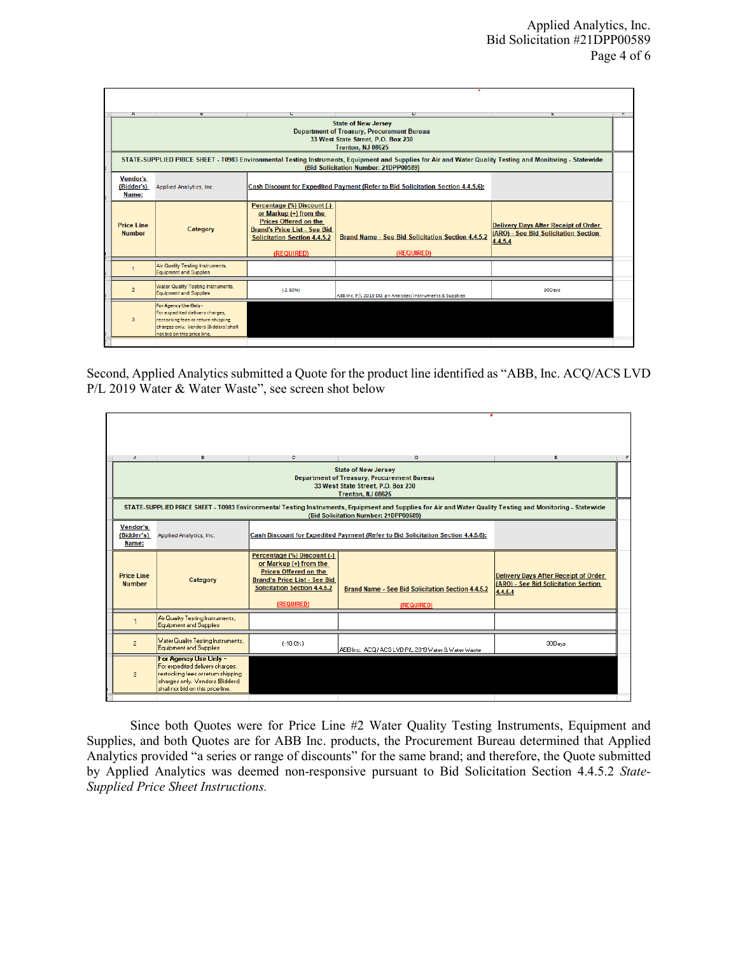| А                                  | в                                                                                                                                                                                                  | υ                                                                                                                                                                            | υ                                                                      | Ŀ.                                                                                             |  |  |  |
|------------------------------------|----------------------------------------------------------------------------------------------------------------------------------------------------------------------------------------------------|------------------------------------------------------------------------------------------------------------------------------------------------------------------------------|------------------------------------------------------------------------|------------------------------------------------------------------------------------------------|--|--|--|
|                                    | <b>State of New Jersey</b><br><b>Department of Treasury, Procurement Bureau</b><br>33 West State Street, P.O. Box 230<br>Trenton, NJ 08625                                                         |                                                                                                                                                                              |                                                                        |                                                                                                |  |  |  |
|                                    | STATE-SUPPLIED PRICE SHEET - T0983 Environmental Testing Instruments, Equipment and Supplies for Air and Water Quality Testing and Monitoring - Statewide<br>(Bid Solicitation Number: 21DPP00589) |                                                                                                                                                                              |                                                                        |                                                                                                |  |  |  |
| <b>Vendor's</b><br>Name:           | Cash Discount for Expedited Payment (Refer to Bid Solicitation Section 4.4.5.6):<br>{Bidder's}<br>Applied Analytics, Inc.                                                                          |                                                                                                                                                                              |                                                                        |                                                                                                |  |  |  |
| <b>Price Line</b><br><b>Number</b> | Category                                                                                                                                                                                           | Percentage (%) Discount (-)<br>or Markup $(+)$ from the<br>Prices Offered on the<br><b>Brand's Price List - See Bid</b><br><b>Solicitation Section 4.4.5.2</b><br>(REQUIRED) | <b>Brand Name - See Bid Solicitation Section 4.4.5.2</b><br>(REQUIRED) | <b>Delivery Days After Receipt of Order</b><br>(ARO) - See Bid Solicitation Section<br>4.4.5.4 |  |  |  |
|                                    | Air Quality Testing Instruments,<br><b>Equipment and Supplies</b>                                                                                                                                  |                                                                                                                                                                              |                                                                        |                                                                                                |  |  |  |
| $\overline{2}$                     | Water Quality Testing Instruments,<br><b>Equipment and Supplies</b>                                                                                                                                | $(-2.50%)$                                                                                                                                                                   | ABB Inc. P/L 2019 DO, pH Analyzer/ Instruments & Supplies              | <b>30Days</b>                                                                                  |  |  |  |
| 3                                  | For Agency Use Only -<br>For expedited delivery charges,<br>restocking fees or return shipping<br>charges only. Vendors (Bidders) shall<br>not bid on this price line.                             |                                                                                                                                                                              |                                                                        |                                                                                                |  |  |  |

Second, Applied Analytics submitted a Quote for the product line identified as "ABB, Inc. ACQ/ACS LVD P/L 2019 Water & Water Waste", see screen shot below

| в<br>c.<br>D<br>A<br>Ε<br><b>State of New Jersey</b><br><b>Department of Treasury, Procurement Bureau</b><br>33 West State Street, P.O. Box 230                                                                         |                                                                                                                                                                        |                                                                                                                                                                            |                                                                        |                                                                                         |  |
|-------------------------------------------------------------------------------------------------------------------------------------------------------------------------------------------------------------------------|------------------------------------------------------------------------------------------------------------------------------------------------------------------------|----------------------------------------------------------------------------------------------------------------------------------------------------------------------------|------------------------------------------------------------------------|-----------------------------------------------------------------------------------------|--|
| Trenton, NJ 08625<br>STATE-SUPPLIED PRICE SHEET - T0983 Environmental Testing Instruments, Equipment and Supplies for Air and Water Quality Testing and Monitoring - Statewide<br>(Bid Solicitation Number: 21DPP00589) |                                                                                                                                                                        |                                                                                                                                                                            |                                                                        |                                                                                         |  |
| Vendor's<br>{Bidder's}<br>Name:                                                                                                                                                                                         | Applied Analytics, Inc.                                                                                                                                                | Cash Discount for Expedited Payment (Refer to Bid Solicitation Section 4.4.5.6):                                                                                           |                                                                        |                                                                                         |  |
| <b>Price Line</b><br><b>Number</b>                                                                                                                                                                                      | Category                                                                                                                                                               | Percentage (%) Discount (-)<br>or Markup (+) from the<br>Prices Offered on the<br><b>Brand's Price List - See Bid</b><br><b>Solicitation Section 4.4.5.2</b><br>(REQUIRED) | <b>Brand Name - See Bid Solicitation Section 4.4.5.2</b><br>(REQUIRED) | Delivery Days After Receipt of Order<br>(ARO) - See Bid Solicitation Section<br>4.4.5.4 |  |
|                                                                                                                                                                                                                         | Air Quality Testing Instruments,<br>Equipment and Supplies                                                                                                             |                                                                                                                                                                            |                                                                        |                                                                                         |  |
| $\overline{2}$                                                                                                                                                                                                          | Water Quality Testing Instruments,<br>Equipment and Supplies                                                                                                           | $(-10.0)$                                                                                                                                                                  | ABB Inc. ACQ / ACS LVD P/L 2019 Water & Water Waste                    | 30Days                                                                                  |  |
| 3                                                                                                                                                                                                                       | For Agency Use Unly –<br>For expedited delivery charges,<br>restocking fees or return shipping<br>charges only. Vendors (Bidders)<br>shall not bid on this price line. |                                                                                                                                                                            |                                                                        |                                                                                         |  |

Since both Quotes were for Price Line #2 Water Quality Testing Instruments, Equipment and Supplies, and both Quotes are for ABB Inc. products, the Procurement Bureau determined that Applied Analytics provided "a series or range of discounts" for the same brand; and therefore, the Quote submitted by Applied Analytics was deemed non-responsive pursuant to Bid Solicitation Section 4.4.5.2 *State-Supplied Price Sheet Instructions.*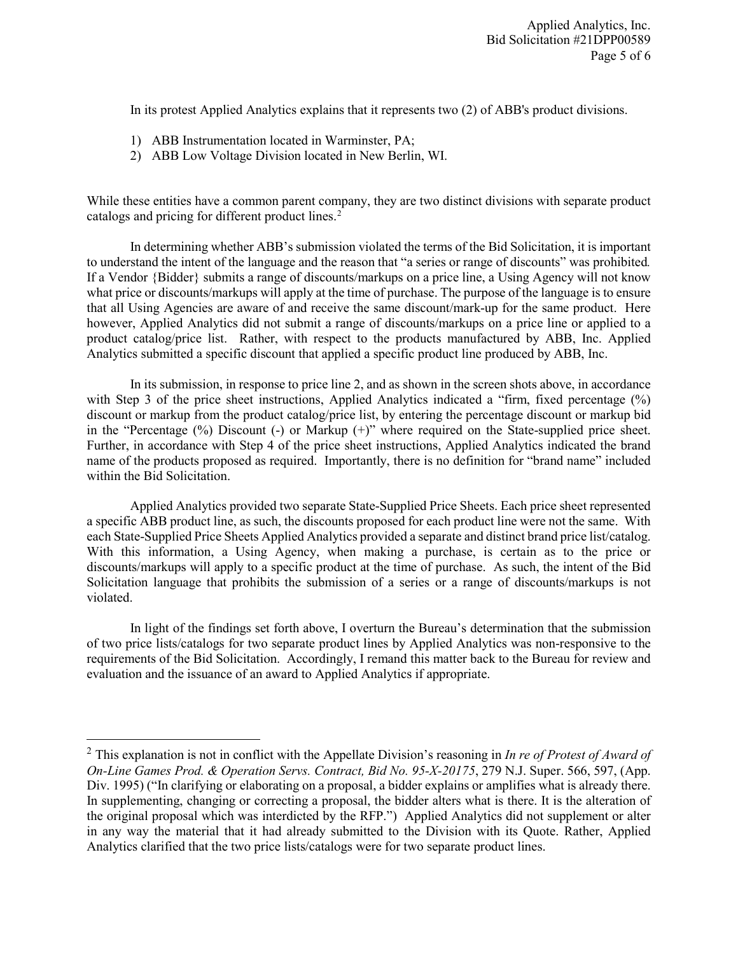In its protest Applied Analytics explains that it represents two (2) of ABB's product divisions.

- 1) ABB Instrumentation located in Warminster, PA;
- 2) ABB Low Voltage Division located in New Berlin, WI.

While these entities have a common parent company, they are two distinct divisions with separate product catalogs and pricing for different product lines.<sup>[2](#page-4-0)</sup>

In determining whether ABB's submission violated the terms of the Bid Solicitation, it is important to understand the intent of the language and the reason that "a series or range of discounts" was prohibited*.* If a Vendor {Bidder} submits a range of discounts/markups on a price line, a Using Agency will not know what price or discounts/markups will apply at the time of purchase. The purpose of the language is to ensure that all Using Agencies are aware of and receive the same discount/mark-up for the same product. Here however, Applied Analytics did not submit a range of discounts/markups on a price line or applied to a product catalog/price list. Rather, with respect to the products manufactured by ABB, Inc. Applied Analytics submitted a specific discount that applied a specific product line produced by ABB, Inc.

In its submission, in response to price line 2, and as shown in the screen shots above, in accordance with Step 3 of the price sheet instructions, Applied Analytics indicated a "firm, fixed percentage (%) discount or markup from the product catalog/price list, by entering the percentage discount or markup bid in the "Percentage (%) Discount (-) or Markup (+)" where required on the State-supplied price sheet. Further, in accordance with Step 4 of the price sheet instructions, Applied Analytics indicated the brand name of the products proposed as required. Importantly, there is no definition for "brand name" included within the Bid Solicitation.

Applied Analytics provided two separate State-Supplied Price Sheets. Each price sheet represented a specific ABB product line, as such, the discounts proposed for each product line were not the same. With each State-Supplied Price Sheets Applied Analytics provided a separate and distinct brand price list/catalog. With this information, a Using Agency, when making a purchase, is certain as to the price or discounts/markups will apply to a specific product at the time of purchase. As such, the intent of the Bid Solicitation language that prohibits the submission of a series or a range of discounts/markups is not violated.

In light of the findings set forth above, I overturn the Bureau's determination that the submission of two price lists/catalogs for two separate product lines by Applied Analytics was non-responsive to the requirements of the Bid Solicitation. Accordingly, I remand this matter back to the Bureau for review and evaluation and the issuance of an award to Applied Analytics if appropriate.

<span id="page-4-0"></span> <sup>2</sup> This explanation is not in conflict with the Appellate Division's reasoning in *In re of Protest of Award of On-Line Games Prod. & Operation Servs. Contract, Bid No. 95-X-20175*, 279 N.J. Super. 566, 597, (App. Div. 1995) ("In clarifying or elaborating on a proposal, a bidder explains or amplifies what is already there. In supplementing, changing or correcting a proposal, the bidder alters what is there. It is the alteration of the original proposal which was interdicted by the RFP.") Applied Analytics did not supplement or alter in any way the material that it had already submitted to the Division with its Quote. Rather, Applied Analytics clarified that the two price lists/catalogs were for two separate product lines.